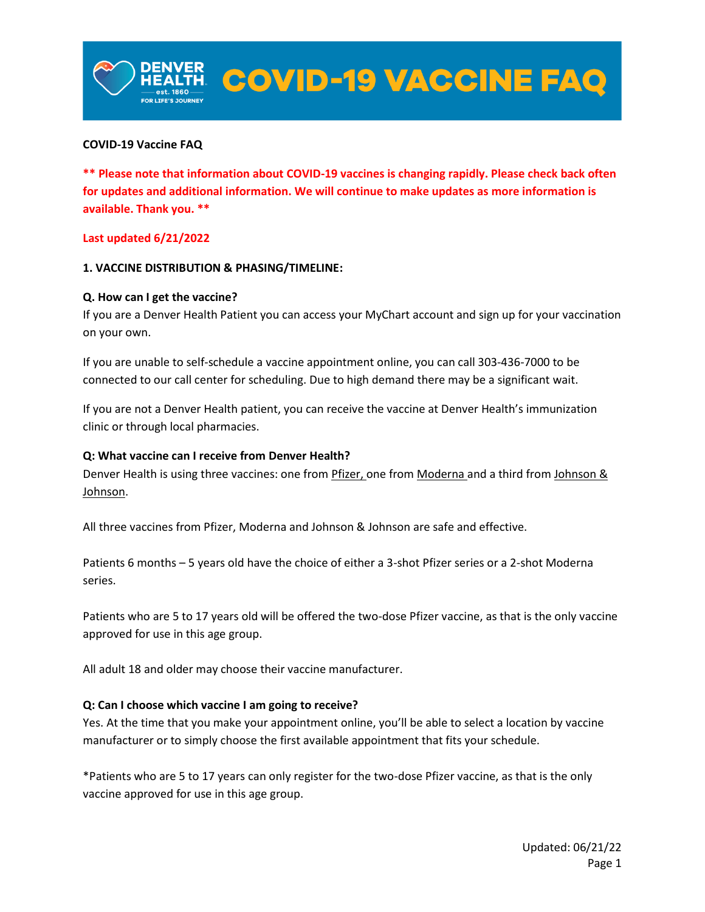#### **COVID-19 Vaccine FAQ**

**\*\* Please note that information about COVID-19 vaccines is changing rapidly. Please check back often for updates and additional information. We will continue to make updates as more information is available. Thank you. \*\***

ER COVID-19 VACCINE FAQ

#### **Last updated 6/21/2022**

#### **1. VACCINE DISTRIBUTION & PHASING/TIMELINE:**

#### **Q. How can I get the vaccine?**

If you are a Denver Health Patient you can access your MyChart account and sign up for your vaccination on your own.

If you are unable to self-schedule a vaccine appointment online, you can call 303-436-7000 to be connected to our call center for scheduling. Due to high demand there may be a significant wait.

If you are not a Denver Health patient, you can receive the vaccine at Denver Health's immunization clinic or through local pharmacies.

#### **Q: What vaccine can I receive from Denver Health?**

Denver Health is using three vaccines: one from [Pfizer,](https://www.cdc.gov/coronavirus/2019-ncov/vaccines/different-vaccines/Pfizer-BioNTech.html) one from [Moderna](https://www.cdc.gov/coronavirus/2019-ncov/vaccines/different-vaccines/Moderna.html) and a third from Johnson & [Johnson.](https://www.cdc.gov/coronavirus/2019-ncov/vaccines/different-vaccines/janssen.html)

All three vaccines from Pfizer, Moderna and Johnson & Johnson are safe and effective.

Patients 6 months – 5 years old have the choice of either a 3-shot Pfizer series or a 2-shot Moderna series.

Patients who are 5 to 17 years old will be offered the two-dose Pfizer vaccine, as that is the only vaccine approved for use in this age group.

All adult 18 and older may choose their vaccine manufacturer.

#### **Q: Can I choose which vaccine I am going to receive?**

Yes. At the time that you make your appointment online, you'll be able to select a location by vaccine manufacturer or to simply choose the first available appointment that fits your schedule.

\*Patients who are 5 to 17 years can only register for the two-dose Pfizer vaccine, as that is the only vaccine approved for use in this age group.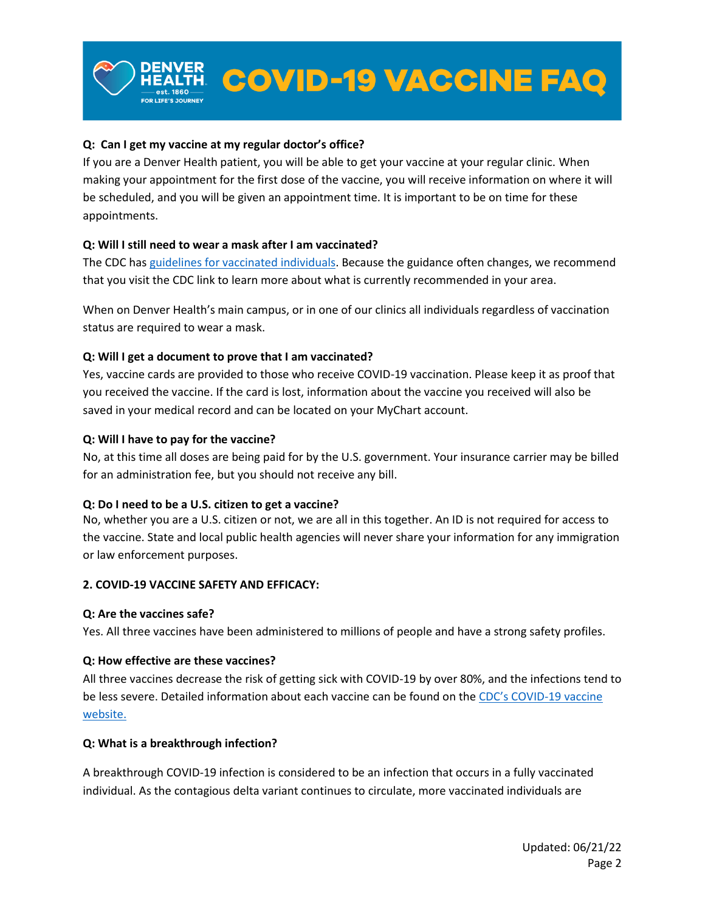# **Q: Can I get my vaccine at my regular doctor's office?**

If you are a Denver Health patient, you will be able to get your vaccine at your regular clinic. When making your appointment for the first dose of the vaccine, you will receive information on where it will be scheduled, and you will be given an appointment time. It is important to be on time for these appointments.

#### **Q: Will I still need to wear a mask after I am vaccinated?**

The CDC has [guidelines for vaccinated individuals.](https://www.cdc.gov/coronavirus/2019-ncov/vaccines/fully-vaccinated.html) Because the guidance often changes, we recommend that you visit the CDC link to learn more about what is currently recommended in your area.

When on Denver Health's main campus, or in one of our clinics all individuals regardless of vaccination status are required to wear a mask.

#### **Q: Will I get a document to prove that I am vaccinated?**

Yes, vaccine cards are provided to those who receive COVID-19 vaccination. Please keep it as proof that you received the vaccine. If the card is lost, information about the vaccine you received will also be saved in your medical record and can be located on your MyChart account.

#### **Q: Will I have to pay for the vaccine?**

No, at this time all doses are being paid for by the U.S. government. Your insurance carrier may be billed for an administration fee, but you should not receive any bill.

#### **Q: Do I need to be a U.S. citizen to get a vaccine?**

No, whether you are a U.S. citizen or not, we are all in this together. An ID is not required for access to the vaccine. State and local public health agencies will never share your information for any immigration or law enforcement purposes.

#### **2. COVID-19 VACCINE SAFETY AND EFFICACY:**

#### **Q: Are the vaccines safe?**

Yes. All three vaccines have been administered to millions of people and have a strong safety profiles.

#### **Q: How effective are these vaccines?**

All three vaccines decrease the risk of getting sick with COVID-19 by over 80%, and the infections tend to be less severe. Detailed information about each vaccine can be found on the [CDC's COVID](https://www.cdc.gov/coronavirus/2019-ncov/vaccines/index.html)-19 vaccine [website.](https://www.cdc.gov/coronavirus/2019-ncov/vaccines/index.html)

#### **Q: What is a breakthrough infection?**

A breakthrough COVID-19 infection is considered to be an infection that occurs in a fully vaccinated individual. As the contagious delta variant continues to circulate, more vaccinated individuals are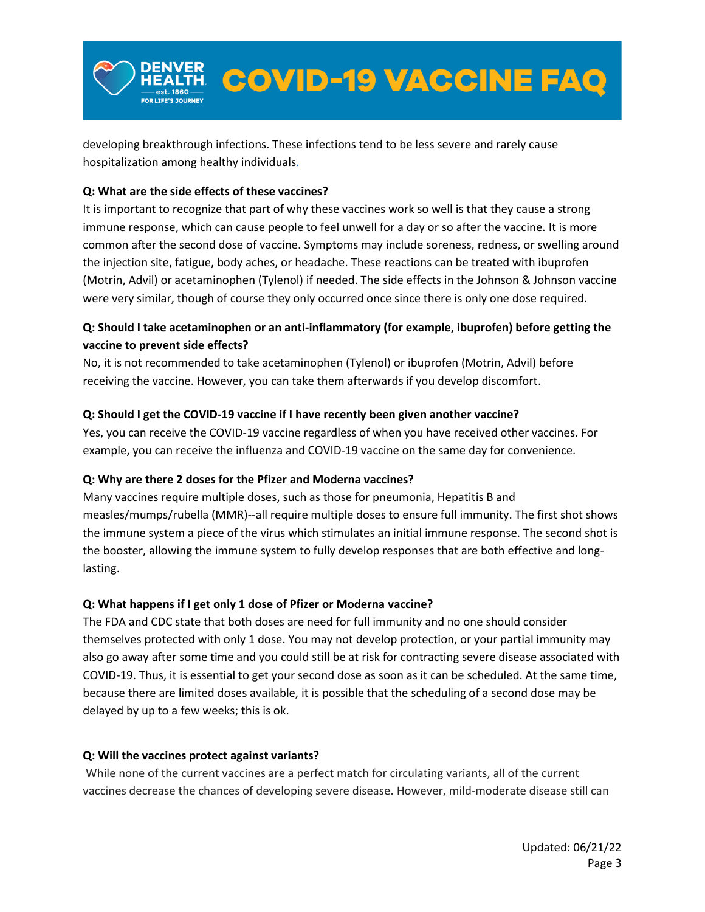developing breakthrough infections. These infections tend to be less severe and rarely cause hospitalization among healthy individuals.

# **Q: What are the side effects of these vaccines?**

It is important to recognize that part of why these vaccines work so well is that they cause a strong immune response, which can cause people to feel unwell for a day or so after the vaccine. It is more common after the second dose of vaccine. Symptoms may include soreness, redness, or swelling around the injection site, fatigue, body aches, or headache. These reactions can be treated with ibuprofen (Motrin, Advil) or acetaminophen (Tylenol) if needed. The side effects in the Johnson & Johnson vaccine were very similar, though of course they only occurred once since there is only one dose required.

照 COVID-19 VACCINE FAQ

# **Q: Should I take acetaminophen or an anti-inflammatory (for example, ibuprofen) before getting the vaccine to prevent side effects?**

No, it is not recommended to take acetaminophen (Tylenol) or ibuprofen (Motrin, Advil) before receiving the vaccine. However, you can take them afterwards if you develop discomfort.

# **Q: Should I get the COVID-19 vaccine if I have recently been given another vaccine?**

Yes, you can receive the COVID-19 vaccine regardless of when you have received other vaccines. For example, you can receive the influenza and COVID-19 vaccine on the same day for convenience.

#### **Q: Why are there 2 doses for the Pfizer and Moderna vaccines?**

Many vaccines require multiple doses, such as those for pneumonia, Hepatitis B and measles/mumps/rubella (MMR)--all require multiple doses to ensure full immunity. The first shot shows the immune system a piece of the virus which stimulates an initial immune response. The second shot is the booster, allowing the immune system to fully develop responses that are both effective and longlasting.

# **Q: What happens if I get only 1 dose of Pfizer or Moderna vaccine?**

The FDA and CDC state that both doses are need for full immunity and no one should consider themselves protected with only 1 dose. You may not develop protection, or your partial immunity may also go away after some time and you could still be at risk for contracting severe disease associated with COVID-19. Thus, it is essential to get your second dose as soon as it can be scheduled. At the same time, because there are limited doses available, it is possible that the scheduling of a second dose may be delayed by up to a few weeks; this is ok.

#### **Q: Will the vaccines protect against variants?**

While none of the current vaccines are a perfect match for circulating variants, all of the current vaccines decrease the chances of developing severe disease. However, mild-moderate disease still can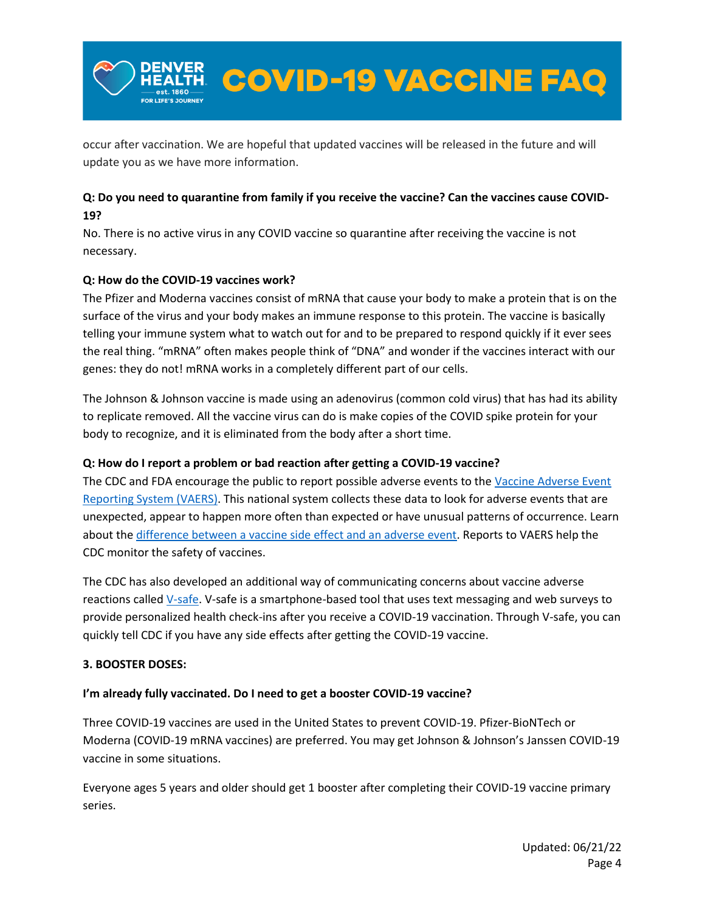occur after vaccination. We are hopeful that updated vaccines will be released in the future and will update you as we have more information.

<u> 照</u> COVID-19 VACCINE FAQ

# **Q: Do you need to quarantine from family if you receive the vaccine? Can the vaccines cause COVID-19?**

No. There is no active virus in any COVID vaccine so quarantine after receiving the vaccine is not necessary.

# **Q: How do the COVID-19 vaccines work?**

The Pfizer and Moderna vaccines consist of mRNA that cause your body to make a protein that is on the surface of the virus and your body makes an immune response to this protein. The vaccine is basically telling your immune system what to watch out for and to be prepared to respond quickly if it ever sees the real thing. "mRNA" often makes people think of "DNA" and wonder if the vaccines interact with our genes: they do not! mRNA works in a completely different part of our cells.

The Johnson & Johnson vaccine is made using an adenovirus (common cold virus) that has had its ability to replicate removed. All the vaccine virus can do is make copies of the COVID spike protein for your body to recognize, and it is eliminated from the body after a short time.

# **Q: How do I report a problem or bad reaction after getting a COVID-19 vaccine?**

The CDC and FDA encourage the public to report possible adverse events to the Vaccine Adverse Event [Reporting System \(VAERS\).](https://vaers.hhs.gov/reportevent.html) This national system collects these data to look for adverse events that are unexpected, appear to happen more often than expected or have unusual patterns of occurrence. Learn about the [difference between a vaccine side effect and an adverse event.](https://www.cdc.gov/vaccinesafety/ensuringsafety/sideeffects/index.html) Reports to VAERS help the CDC monitor the safety of vaccines.

The CDC has also developed an additional way of communicating concerns about vaccine adverse reactions calle[d V-safe.](https://www.cdc.gov/coronavirus/2019-ncov/vaccines/safety/vsafe.html) V-safe is a smartphone-based tool that uses text messaging and web surveys to provide personalized health check-ins after you receive a COVID-19 vaccination. Through V-safe, you can quickly tell CDC if you have any side effects after getting the COVID-19 vaccine.

#### **3. BOOSTER DOSES:**

#### **I'm already fully vaccinated. Do I need to get a booster COVID-19 vaccine?**

Three COVID-19 vaccines are used in the United States to prevent COVID-19. Pfizer-BioNTech or Moderna (COVID-19 mRNA vaccines) are preferred. You may get Johnson & Johnson's Janssen COVID-19 vaccine in some situations.

Everyone ages 5 years and older should get 1 booster after completing their COVID-19 vaccine primary series.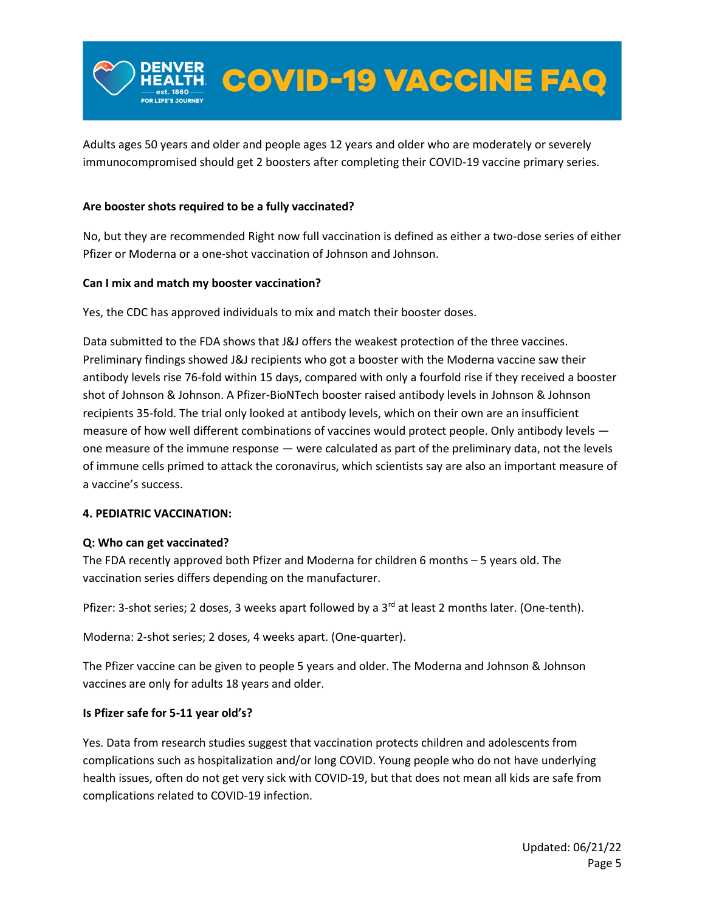Adults ages 50 years and older and people ages 12 years and older who are moderately or severely immunocompromised should get 2 boosters after completing their COVID-19 vaccine primary series.

ER COVID-19 VACCINE FAQ

### **Are booster shots required to be a fully vaccinated?**

No, but they are recommended Right now full vaccination is defined as either a two-dose series of either Pfizer or Moderna or a one-shot vaccination of Johnson and Johnson.

#### **Can I mix and match my booster vaccination?**

Yes, the CDC has approved individuals to mix and match their booster doses.

Data submitted to the FDA shows that J&J offers the weakest protection of the three vaccines. Preliminary findings showed J&J recipients who got a booster with the Moderna vaccine saw their antibody levels rise 76-fold within 15 days, compared with only a fourfold rise if they received a booster shot of Johnson & Johnson. A Pfizer-BioNTech booster raised antibody levels in Johnson & Johnson recipients 35-fold. The trial only looked at antibody levels, which on their own are an insufficient measure of how well different combinations of vaccines would protect people. Only antibody levels one measure of the immune response — were calculated as part of the preliminary data, not the levels of immune cells primed to attack the coronavirus, which scientists say are also an important measure of a vaccine's success.

#### **4. PEDIATRIC VACCINATION:**

#### **Q: Who can get vaccinated?**

The FDA recently approved both Pfizer and Moderna for children 6 months – 5 years old. The vaccination series differs depending on the manufacturer.

Pfizer: 3-shot series; 2 doses, 3 weeks apart followed by a 3<sup>rd</sup> at least 2 months later. (One-tenth).

Moderna: 2-shot series; 2 doses, 4 weeks apart. (One-quarter).

The Pfizer vaccine can be given to people 5 years and older. The Moderna and Johnson & Johnson vaccines are only for adults 18 years and older.

#### **Is Pfizer safe for 5-11 year old's?**

Yes. Data from research studies suggest that vaccination protects children and adolescents from complications such as hospitalization and/or long COVID. Young people who do not have underlying health issues, often do not get very sick with COVID-19, but that does not mean all kids are safe from complications related to COVID-19 infection.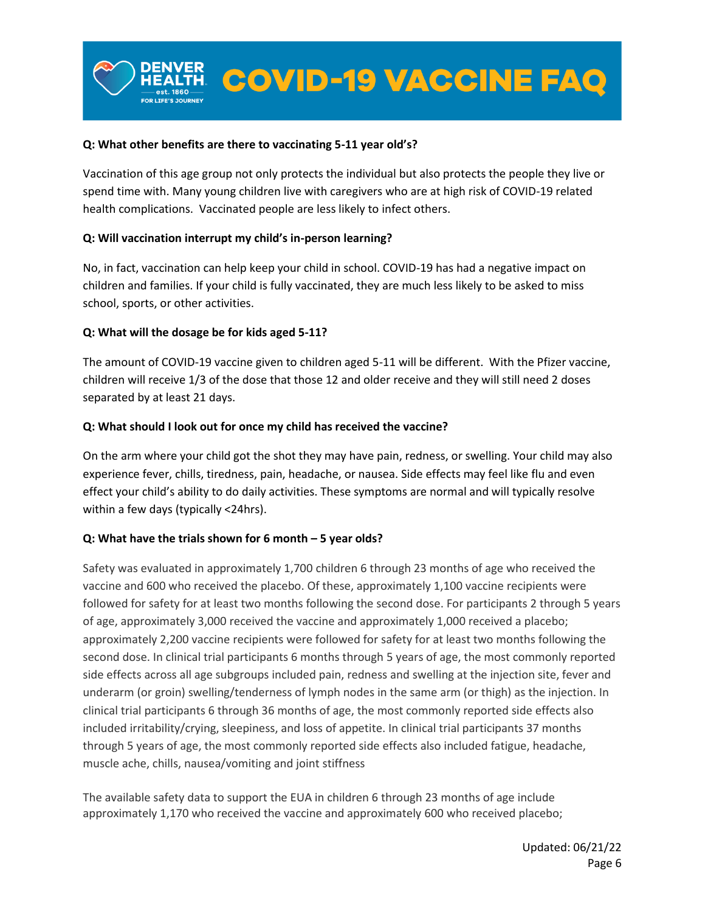#### **Q: What other benefits are there to vaccinating 5-11 year old's?**

Vaccination of this age group not only protects the individual but also protects the people they live or spend time with. Many young children live with caregivers who are at high risk of COVID-19 related health complications. Vaccinated people are less likely to infect others.

#### **Q: Will vaccination interrupt my child's in-person learning?**

No, in fact, vaccination can help keep your child in school. COVID-19 has had a negative impact on children and families. If your child is fully vaccinated, they are much less likely to be asked to miss school, sports, or other activities.

#### **Q: What will the dosage be for kids aged 5-11?**

The amount of COVID-19 vaccine given to children aged 5-11 will be different. With the Pfizer vaccine, children will receive 1/3 of the dose that those 12 and older receive and they will still need 2 doses separated by at least 21 days.

#### **Q: What should I look out for once my child has received the vaccine?**

On the arm where your child got the shot they may have pain, redness, or swelling. Your child may also experience fever, chills, tiredness, pain, headache, or nausea. Side effects may feel like flu and even effect your child's ability to do daily activities. These symptoms are normal and will typically resolve within a few days (typically <24hrs).

#### **Q: What have the trials shown for 6 month – 5 year olds?**

Safety was evaluated in approximately 1,700 children 6 through 23 months of age who received the vaccine and 600 who received the placebo. Of these, approximately 1,100 vaccine recipients were followed for safety for at least two months following the second dose. For participants 2 through 5 years of age, approximately 3,000 received the vaccine and approximately 1,000 received a placebo; approximately 2,200 vaccine recipients were followed for safety for at least two months following the second dose. In clinical trial participants 6 months through 5 years of age, the most commonly reported side effects across all age subgroups included pain, redness and swelling at the injection site, fever and underarm (or groin) swelling/tenderness of lymph nodes in the same arm (or thigh) as the injection. In clinical trial participants 6 through 36 months of age, the most commonly reported side effects also included irritability/crying, sleepiness, and loss of appetite. In clinical trial participants 37 months through 5 years of age, the most commonly reported side effects also included fatigue, headache, muscle ache, chills, nausea/vomiting and joint stiffness

The available safety data to support the EUA in children 6 through 23 months of age include approximately 1,170 who received the vaccine and approximately 600 who received placebo;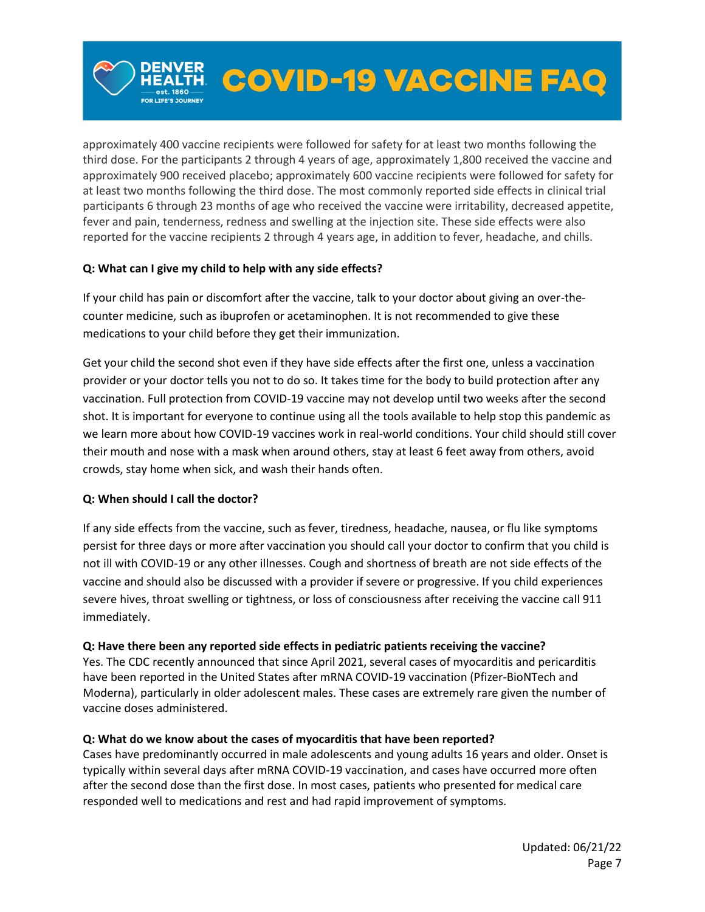approximately 400 vaccine recipients were followed for safety for at least two months following the third dose. For the participants 2 through 4 years of age, approximately 1,800 received the vaccine and approximately 900 received placebo; approximately 600 vaccine recipients were followed for safety for at least two months following the third dose. The most commonly reported side effects in clinical trial participants 6 through 23 months of age who received the vaccine were irritability, decreased appetite, fever and pain, tenderness, redness and swelling at the injection site. These side effects were also reported for the vaccine recipients 2 through 4 years age, in addition to fever, headache, and chills.

**COVID-19 VACCINE FAQ** 

# **Q: What can I give my child to help with any side effects?**

If your child has pain or discomfort after the vaccine, talk to your doctor about giving an over-thecounter medicine, such as ibuprofen or acetaminophen. It is not recommended to give these medications to your child before they get their immunization.

Get your child the second shot even if they have side effects after the first one, unless a vaccination provider or your doctor tells you not to do so. It takes time for the body to build protection after any vaccination. Full protection from COVID-19 vaccine may not develop until two weeks after the second shot. It is important for everyone to continue using all the tools available to help stop this pandemic as we learn more about how COVID-19 vaccines work in real-world conditions. Your child should still cover their mouth and nose with a mask when around others, stay at least 6 feet away from others, avoid crowds, stay home when sick, and wash their hands often.

#### **Q: When should I call the doctor?**

If any side effects from the vaccine, such as fever, tiredness, headache, nausea, or flu like symptoms persist for three days or more after vaccination you should call your doctor to confirm that you child is not ill with COVID-19 or any other illnesses. Cough and shortness of breath are not side effects of the vaccine and should also be discussed with a provider if severe or progressive. If you child experiences severe hives, throat swelling or tightness, or loss of consciousness after receiving the vaccine call 911 immediately.

#### **Q: Have there been any reported side effects in pediatric patients receiving the vaccine?**

Yes. The CDC recently announced that since April 2021, several cases of myocarditis and pericarditis have been reported in the United States after mRNA COVID-19 vaccination (Pfizer-BioNTech and Moderna), particularly in older adolescent males. These cases are extremely rare given the number of vaccine doses administered.

#### **Q: What do we know about the cases of myocarditis that have been reported?**

Cases have predominantly occurred in male adolescents and young adults 16 years and older. Onset is typically within several days after mRNA COVID-19 vaccination, and cases have occurred more often after the second dose than the first dose. In most cases, patients who presented for medical care responded well to medications and rest and had rapid improvement of symptoms.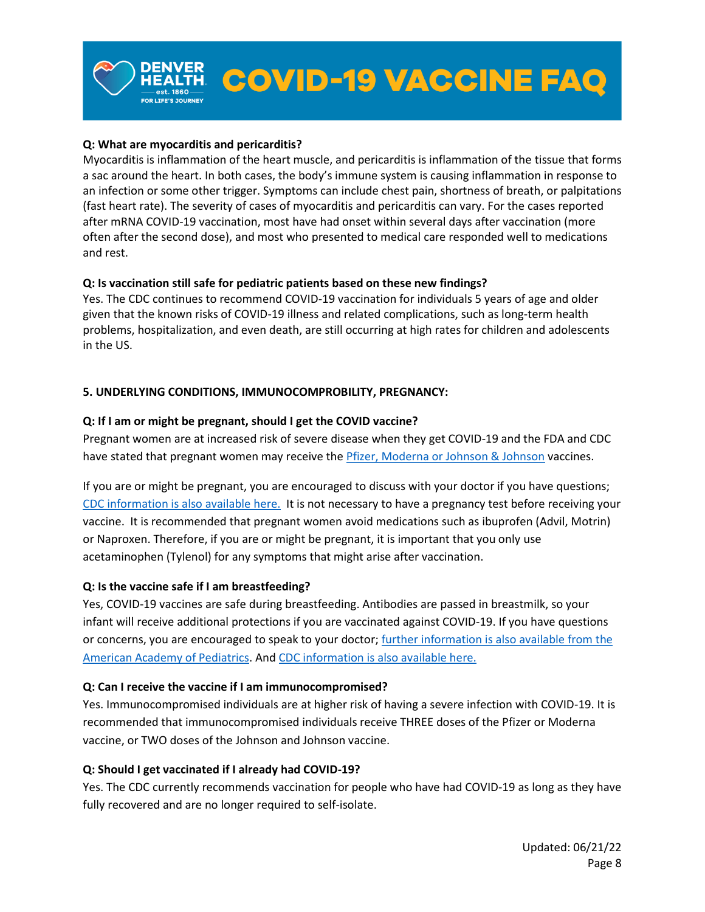### **Q: What are myocarditis and pericarditis?**

Myocarditis is inflammation of the heart muscle, and pericarditis is inflammation of the tissue that forms a sac around the heart. In both cases, the body's immune system is causing inflammation in response to an infection or some other trigger. Symptoms can include chest pain, shortness of breath, or palpitations (fast heart rate). The severity of cases of myocarditis and pericarditis can vary. For the cases reported after mRNA COVID-19 vaccination, most have had onset within several days after vaccination (more often after the second dose), and most who presented to medical care responded well to medications and rest.

#### **Q: Is vaccination still safe for pediatric patients based on these new findings?**

Yes. The CDC continues to recommend COVID-19 vaccination for individuals 5 years of age and older given that the known risks of COVID-19 illness and related complications, such as long-term health problems, hospitalization, and even death, are still occurring at high rates for children and adolescents in the US.

# **5. UNDERLYING CONDITIONS, IMMUNOCOMPROBILITY, PREGNANCY:**

# **Q: If I am or might be pregnant, should I get the COVID vaccine?**

Pregnant women are at increased risk of severe disease when they get COVID-19 and the FDA and CDC have stated that pregnant women may receive the *Pfizer, Moderna or Johnson & Johnson* vaccines.

If you are or might be pregnant, you are encouraged to discuss with your doctor if you have questions; [CDC information is also available here.](https://www.cdc.gov/vaccines/covid-19/info-by-product/clinical-considerations.html) It is not necessary to have a pregnancy test before receiving your vaccine. It is recommended that pregnant women avoid medications such as ibuprofen (Advil, Motrin) or Naproxen. Therefore, if you are or might be pregnant, it is important that you only use acetaminophen (Tylenol) for any symptoms that might arise after vaccination.

#### **Q: Is the vaccine safe if I am breastfeeding?**

Yes, COVID-19 vaccines are safe during breastfeeding. Antibodies are passed in breastmilk, so your infant will receive additional protections if you are vaccinated against COVID-19. If you have questions or concerns, you are encouraged to speak to your doctor; [further information is also available from the](https://services.aap.org/en/pages/2019-novel-coronavirus-covid-19-infections/covid-19-vaccine-frequently-asked-questions/)  [American Academy of Pediatrics.](https://services.aap.org/en/pages/2019-novel-coronavirus-covid-19-infections/covid-19-vaccine-frequently-asked-questions/) And [CDC information is also available here.](https://www.cdc.gov/vaccines/covid-19/info-by-product/clinical-considerations.html)

#### **Q: Can I receive the vaccine if I am immunocompromised?**

Yes. Immunocompromised individuals are at higher risk of having a severe infection with COVID-19. It is recommended that immunocompromised individuals receive THREE doses of the Pfizer or Moderna vaccine, or TWO doses of the Johnson and Johnson vaccine.

#### **Q: Should I get vaccinated if I already had COVID-19?**

Yes. The CDC currently recommends vaccination for people who have had COVID-19 as long as they have fully recovered and are no longer required to self-isolate.